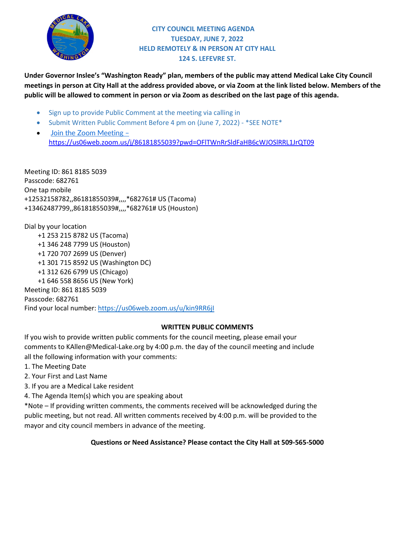

# **CITY COUNCIL MEETING AGENDA TUESDAY, JUNE 7, 2022 HELD REMOTELY & IN PERSON AT CITY HALL 124 S. LEFEVRE ST.**

**Under Governor Inslee's "Washington Ready" plan, members of the public may attend Medical Lake City Council meetings in person at City Hall at the address provided above, or via Zoom at the link listed below. Members of the public will be allowed to comment in person or via Zoom as described on the last page of this agenda.**

- Sign up to provide Public Comment at the meeting via calling in
- Submit Written Public Comment Before 4 pm on (June 7, 2022) \*SEE NOTE\*
- [Join the Zoom Meeting –](https://us06web.zoom.us/j/81427343136?pwd=UC85WkdKVitlc2Z2MkI3bFp0dUMxQT09) <https://us06web.zoom.us/j/86181855039?pwd=OFlTWnRrSldFaHB6cWJOSlRRL1JrQT09>

Meeting ID: 861 8185 5039 Passcode: 682761 One tap mobile +12532158782,,86181855039#,,,,\*682761# US (Tacoma) +13462487799,,86181855039#,,,,\*682761# US (Houston)

Dial by your location +1 253 215 8782 US (Tacoma) +1 346 248 7799 US (Houston) +1 720 707 2699 US (Denver) +1 301 715 8592 US (Washington DC) +1 312 626 6799 US (Chicago) +1 646 558 8656 US (New York) Meeting ID: 861 8185 5039 Passcode: 682761

Find your local number[: https://us06web.zoom.us/u/kin9RR6jI](https://us06web.zoom.us/u/kin9RR6jI)

## **WRITTEN PUBLIC COMMENTS**

If you wish to provide written public comments for the council meeting, please email your comments to KAllen@Medical-Lake.org by 4:00 p.m. the day of the council meeting and include all the following information with your comments:

- 1. The Meeting Date
- 2. Your First and Last Name
- 3. If you are a Medical Lake resident
- 4. The Agenda Item(s) which you are speaking about

\*Note – If providing written comments, the comments received will be acknowledged during the public meeting, but not read. All written comments received by 4:00 p.m. will be provided to the mayor and city council members in advance of the meeting.

**Questions or Need Assistance? Please contact the City Hall at 509-565-5000**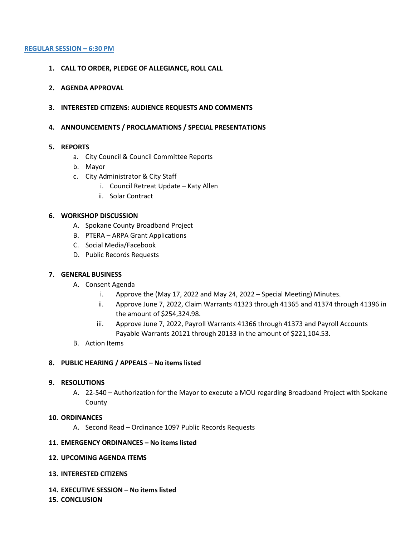#### **REGULAR SESSION – 6:30 PM**

- **1. CALL TO ORDER, PLEDGE OF ALLEGIANCE, ROLL CALL**
- **2. AGENDA APPROVAL**
- **3. INTERESTED CITIZENS: AUDIENCE REQUESTS AND COMMENTS**
- **4. ANNOUNCEMENTS / PROCLAMATIONS / SPECIAL PRESENTATIONS**

## **5. REPORTS**

- a. City Council & Council Committee Reports
- b. Mayor
- c. City Administrator & City Staff
	- i. Council Retreat Update Katy Allen
	- ii. Solar Contract

## **6. WORKSHOP DISCUSSION**

- A. Spokane County Broadband Project
- B. PTERA ARPA Grant Applications
- C. Social Media/Facebook
- D. Public Records Requests

## **7. GENERAL BUSINESS**

- A. Consent Agenda
	- i. Approve the (May 17, 2022 and May 24, 2022 Special Meeting) Minutes.
	- ii. Approve June 7, 2022, Claim Warrants 41323 through 41365 and 41374 through 41396 in the amount of \$254,324.98.
	- iii. Approve June 7, 2022, Payroll Warrants 41366 through 41373 and Payroll Accounts Payable Warrants 20121 through 20133 in the amount of \$221,104.53.
- B. Action Items

## **8. PUBLIC HEARING / APPEALS – No items listed**

## **9. RESOLUTIONS**

A. 22-540 – Authorization for the Mayor to execute a MOU regarding Broadband Project with Spokane County

## **10. ORDINANCES**

A. Second Read – Ordinance 1097 Public Records Requests

## **11. EMERGENCY ORDINANCES – No items listed**

## **12. UPCOMING AGENDA ITEMS**

- **13. INTERESTED CITIZENS**
- **14. EXECUTIVE SESSION – No items listed**
- **15. CONCLUSION**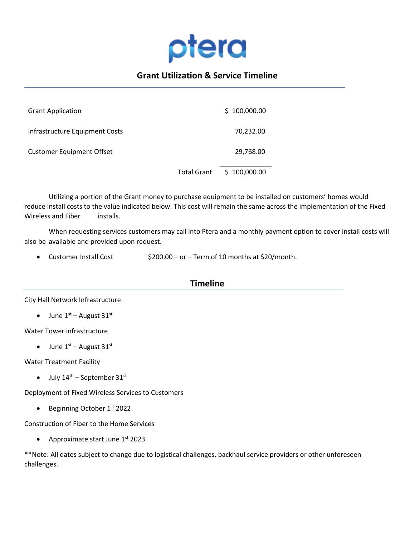

# **Grant Utilization & Service Timeline**

| <b>Grant Application</b>         |                    | \$100,000.00 |
|----------------------------------|--------------------|--------------|
| Infrastructure Equipment Costs   |                    | 70,232.00    |
| <b>Customer Equipment Offset</b> |                    | 29,768.00    |
|                                  | <b>Total Grant</b> | \$100,000.00 |

Utilizing a portion of the Grant money to purchase equipment to be installed on customers' homes would reduce install costs to the value indicated below. This cost will remain the same across the implementation of the Fixed Wireless and Fiber installs.

When requesting services customers may call into Ptera and a monthly payment option to cover install costs will also be available and provided upon request.

• Customer Install Cost  $$200.00 - or - Term of 10 months at $20/month.$ 

## **Timeline**

City Hall Network Infrastructure

• June  $1<sup>st</sup>$  – August 31st

Water Tower infrastructure

• June  $1<sup>st</sup>$  – August 31<sup>st</sup>

Water Treatment Facility

• July  $14<sup>th</sup>$  – September  $31<sup>st</sup>$ 

Deployment of Fixed Wireless Services to Customers

• Beginning October 1<sup>st</sup> 2022

Construction of Fiber to the Home Services

• Approximate start June 1<sup>st</sup> 2023

\*\*Note: All dates subject to change due to logistical challenges, backhaul service providers or other unforeseen challenges.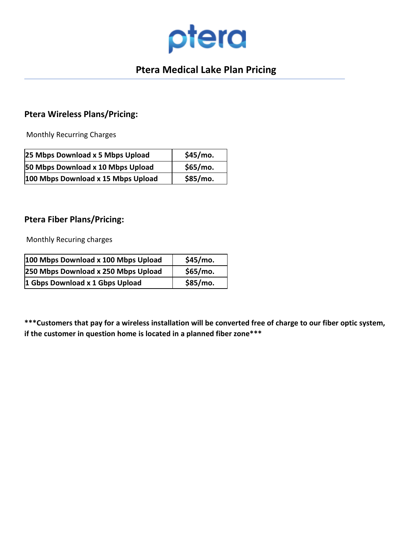

# **Ptera Medical Lake Plan Pricing**

# **Ptera Wireless Plans/Pricing:**

Monthly Recurring Charges

| 25 Mbps Download x 5 Mbps Upload   | \$45/mo. |
|------------------------------------|----------|
| 50 Mbps Download x 10 Mbps Upload  | \$65/mo. |
| 100 Mbps Download x 15 Mbps Upload | \$85/mo. |

# **Ptera Fiber Plans/Pricing:**

Monthly Recuring charges

| 100 Mbps Download x 100 Mbps Upload | \$45/mo. |
|-------------------------------------|----------|
| 250 Mbps Download x 250 Mbps Upload | \$65/mo. |
| 1 Gbps Download x 1 Gbps Upload     | \$85/mo. |

**\*\*\*Customers that pay for a wireless installation will be converted free of charge to our fiber optic system, if the customer in question home is located in a planned fiber zone\*\*\***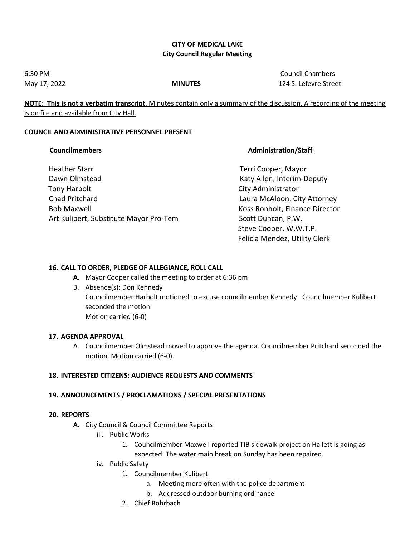## **CITY OF MEDICAL LAKE City Council Regular Meeting**

6:30 PM Council Chambers May 17, 2022 **MINUTES** 124 S. Lefevre Street

**NOTE: This is not a verbatim transcript**. Minutes contain only a summary of the discussion. A recording of the meeting is on file and available from City Hall.

## **COUNCIL AND ADMINISTRATIVE PERSONNEL PRESENT**

## **Councilmembers Councilmembers Administration/Staff**

| <b>Heather Starr</b>                   |
|----------------------------------------|
| Dawn Olmstead                          |
| <b>Tony Harbolt</b>                    |
| Chad Pritchard                         |
| <b>Bob Maxwell</b>                     |
| Art Kulibert, Substitute Mayor Pro-Tem |
|                                        |

Terri Cooper, Mayor Katy Allen, Interim-Deputy City Administrator Laura McAloon, City Attorney Koss Ronholt, Finance Director Scott Duncan, P.W. Steve Cooper, W.W.T.P. Felicia Mendez, Utility Clerk

## **16. CALL TO ORDER, PLEDGE OF ALLEGIANCE, ROLL CALL**

- **A.** Mayor Cooper called the meeting to order at 6:36 pm
- B. Absence(s): Don Kennedy Councilmember Harbolt motioned to excuse councilmember Kennedy. Councilmember Kulibert seconded the motion. Motion carried (6-0)

## **17. AGENDA APPROVAL**

A. Councilmember Olmstead moved to approve the agenda. Councilmember Pritchard seconded the motion. Motion carried (6-0).

## **18. INTERESTED CITIZENS: AUDIENCE REQUESTS AND COMMENTS**

## **19. ANNOUNCEMENTS / PROCLAMATIONS / SPECIAL PRESENTATIONS**

## **20. REPORTS**

- **A.** City Council & Council Committee Reports
	- iii. Public Works
		- 1. Councilmember Maxwell reported TIB sidewalk project on Hallett is going as expected. The water main break on Sunday has been repaired.
	- iv. Public Safety
		- 1. Councilmember Kulibert
			- a. Meeting more often with the police department
			- b. Addressed outdoor burning ordinance
		- 2. Chief Rohrbach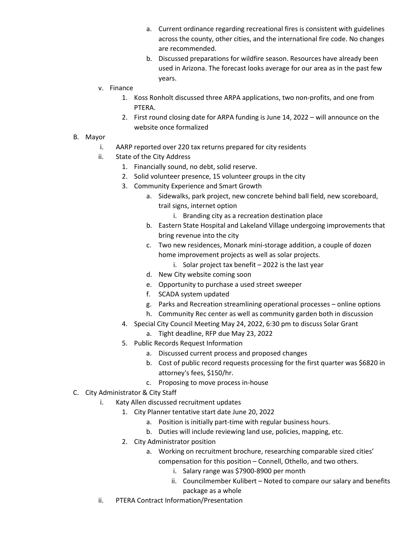- a. Current ordinance regarding recreational fires is consistent with guidelines across the county, other cities, and the international fire code. No changes are recommended.
- b. Discussed preparations for wildfire season. Resources have already been used in Arizona. The forecast looks average for our area as in the past few years.
- v. Finance
	- 1. Koss Ronholt discussed three ARPA applications, two non-profits, and one from PTERA.
	- 2. First round closing date for ARPA funding is June 14, 2022 will announce on the website once formalized

## B. Mayor

- i. AARP reported over 220 tax returns prepared for city residents
- ii. State of the City Address
	- 1. Financially sound, no debt, solid reserve.
	- 2. Solid volunteer presence, 15 volunteer groups in the city
	- 3. Community Experience and Smart Growth
		- a. Sidewalks, park project, new concrete behind ball field, new scoreboard, trail signs, internet option
			- i. Branding city as a recreation destination place
		- b. Eastern State Hospital and Lakeland Village undergoing improvements that bring revenue into the city
		- c. Two new residences, Monark mini-storage addition, a couple of dozen home improvement projects as well as solar projects.
			- i. Solar project tax benefit 2022 is the last year
		- d. New City website coming soon
		- e. Opportunity to purchase a used street sweeper
		- f. SCADA system updated
		- g. Parks and Recreation streamlining operational processes online options
		- h. Community Rec center as well as community garden both in discussion
	- 4. Special City Council Meeting May 24, 2022, 6:30 pm to discuss Solar Grant
		- a. Tight deadline, RFP due May 23, 2022
	- 5. Public Records Request Information
		- a. Discussed current process and proposed changes
		- b. Cost of public record requests processing for the first quarter was \$6820 in attorney's fees, \$150/hr.
		- c. Proposing to move process in-house
- C. City Administrator & City Staff
	- i. Katy Allen discussed recruitment updates
		- 1. City Planner tentative start date June 20, 2022
			- a. Position is initially part-time with regular business hours.
			- b. Duties will include reviewing land use, policies, mapping, etc.
		- 2. City Administrator position
			- a. Working on recruitment brochure, researching comparable sized cities' compensation for this position – Connell, Othello, and two others.
				- i. Salary range was \$7900-8900 per month
				- ii. Councilmember Kulibert Noted to compare our salary and benefits package as a whole
	- ii. PTERA Contract Information/Presentation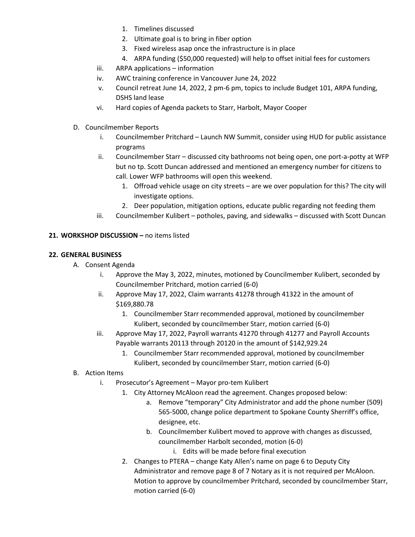- 1. Timelines discussed
- 2. Ultimate goal is to bring in fiber option
- 3. Fixed wireless asap once the infrastructure is in place
- 4. ARPA funding (\$50,000 requested) will help to offset initial fees for customers
- iii. ARPA applications information
- iv. AWC training conference in Vancouver June 24, 2022
- v. Council retreat June 14, 2022, 2 pm-6 pm, topics to include Budget 101, ARPA funding, DSHS land lease
- vi. Hard copies of Agenda packets to Starr, Harbolt, Mayor Cooper
- D. Councilmember Reports
	- i. Councilmember Pritchard Launch NW Summit, consider using HUD for public assistance programs
	- ii. Councilmember Starr discussed city bathrooms not being open, one port-a-potty at WFP but no tp. Scott Duncan addressed and mentioned an emergency number for citizens to call. Lower WFP bathrooms will open this weekend.
		- 1. Offroad vehicle usage on city streets are we over population for this? The city will investigate options.
		- 2. Deer population, mitigation options, educate public regarding not feeding them
	- iii. Councilmember Kulibert potholes, paving, and sidewalks discussed with Scott Duncan

## **21. WORKSHOP DISCUSSION –** no items listed

## **22. GENERAL BUSINESS**

- A. Consent Agenda
	- i. Approve the May 3, 2022, minutes, motioned by Councilmember Kulibert, seconded by Councilmember Pritchard, motion carried (6-0)
	- ii. Approve May 17, 2022, Claim warrants 41278 through 41322 in the amount of \$169,880.78
		- 1. Councilmember Starr recommended approval, motioned by councilmember Kulibert, seconded by councilmember Starr, motion carried (6-0)
	- iii. Approve May 17, 2022, Payroll warrants 41270 through 41277 and Payroll Accounts Payable warrants 20113 through 20120 in the amount of \$142,929.24
		- 1. Councilmember Starr recommended approval, motioned by councilmember Kulibert, seconded by councilmember Starr, motion carried (6-0)
- B. Action Items
	- i. Prosecutor's Agreement Mayor pro-tem Kulibert
		- 1. City Attorney McAloon read the agreement. Changes proposed below:
			- a. Remove "temporary" City Administrator and add the phone number (509) 565-5000, change police department to Spokane County Sherriff's office, designee, etc.
			- b. Councilmember Kulibert moved to approve with changes as discussed, councilmember Harbolt seconded, motion (6-0)
				- i. Edits will be made before final execution
		- 2. Changes to PTERA change Katy Allen's name on page 6 to Deputy City Administrator and remove page 8 of 7 Notary as it is not required per McAloon. Motion to approve by councilmember Pritchard, seconded by councilmember Starr, motion carried (6-0)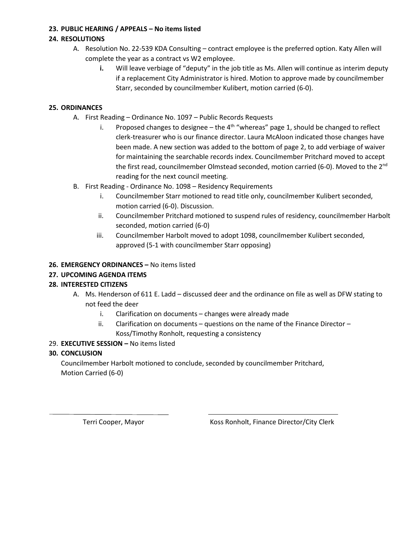## **23. PUBLIC HEARING / APPEALS – No items listed**

# **24. RESOLUTIONS**

- A. Resolution No. 22-539 KDA Consulting contract employee is the preferred option. Katy Allen will complete the year as a contract vs W2 employee.
	- **i.** Will leave verbiage of "deputy" in the job title as Ms. Allen will continue as interim deputy if a replacement City Administrator is hired. Motion to approve made by councilmember Starr, seconded by councilmember Kulibert, motion carried (6-0).

# **25. ORDINANCES**

- A. First Reading Ordinance No. 1097 Public Records Requests
	- i. Proposed changes to designee the  $4<sup>th</sup>$  "whereas" page 1, should be changed to reflect clerk-treasurer who is our finance director. Laura McAloon indicated those changes have been made. A new section was added to the bottom of page 2, to add verbiage of waiver for maintaining the searchable records index. Councilmember Pritchard moved to accept the first read, councilmember Olmstead seconded, motion carried (6-0). Moved to the 2<sup>nd</sup> reading for the next council meeting.
- B. First Reading Ordinance No. 1098 Residency Requirements
	- i. Councilmember Starr motioned to read title only, councilmember Kulibert seconded, motion carried (6-0). Discussion.
	- ii. Councilmember Pritchard motioned to suspend rules of residency, councilmember Harbolt seconded, motion carried (6-0)
	- iii. Councilmember Harbolt moved to adopt 1098, councilmember Kulibert seconded, approved (5-1 with councilmember Starr opposing)

# **26. EMERGENCY ORDINANCES –** No items listed

# **27. UPCOMING AGENDA ITEMS**

# **28. INTERESTED CITIZENS**

- A. Ms. Henderson of 611 E. Ladd discussed deer and the ordinance on file as well as DFW stating to not feed the deer
	- i. Clarification on documents changes were already made
	- ii. Clarification on documents questions on the name of the Finance Director Koss/Timothy Ronholt, requesting a consistency

## 29. **EXECUTIVE SESSION –** No items listed

# **30. CONCLUSION**

 $\overline{a}$ 

Councilmember Harbolt motioned to conclude, seconded by councilmember Pritchard, Motion Carried (6-0)

Terri Cooper, Mayor **Koss Ronholt, Finance Director/City Clerk**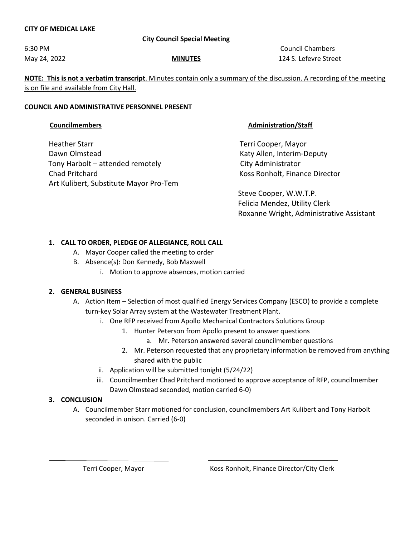## **CITY OF MEDICAL LAKE**

## **City Council Special Meeting**

6:30 PM Council Chambers May 24, 2022 **MINUTES** 124 S. Lefevre Street

**NOTE: This is not a verbatim transcript**. Minutes contain only a summary of the discussion. A recording of the meeting is on file and available from City Hall.

## **COUNCIL AND ADMINISTRATIVE PERSONNEL PRESENT**

Heather Starr Terri Cooper, Mayor Dawn Olmstead **National Community Community** Caty Allen, Interim-Deputy Tony Harbolt – attended remotely City Administrator Chad Pritchard Koss Ronholt, Finance Director Art Kulibert, Substitute Mayor Pro-Tem

## **Councilmembers Councilmembers Administration/Staff**

 Steve Cooper, W.W.T.P. Felicia Mendez, Utility Clerk Roxanne Wright, Administrative Assistant

## **1. CALL TO ORDER, PLEDGE OF ALLEGIANCE, ROLL CALL**

- A. Mayor Cooper called the meeting to order
- B. Absence(s): Don Kennedy, Bob Maxwell
	- i. Motion to approve absences, motion carried

## **2. GENERAL BUSINESS**

- A. Action Item Selection of most qualified Energy Services Company (ESCO) to provide a complete turn-key Solar Array system at the Wastewater Treatment Plant.
	- i. One RFP received from Apollo Mechanical Contractors Solutions Group
		- 1. Hunter Peterson from Apollo present to answer questions
			- a. Mr. Peterson answered several councilmember questions
		- 2. Mr. Peterson requested that any proprietary information be removed from anything shared with the public
	- ii. Application will be submitted tonight (5/24/22)
	- iii. Councilmember Chad Pritchard motioned to approve acceptance of RFP, councilmember Dawn Olmstead seconded, motion carried 6-0)

## **3. CONCLUSION**

 $\overline{a}$ 

A. Councilmember Starr motioned for conclusion, councilmembers Art Kulibert and Tony Harbolt seconded in unison. Carried (6-0)

Terri Cooper, Mayor Koss Ronholt, Finance Director/City Clerk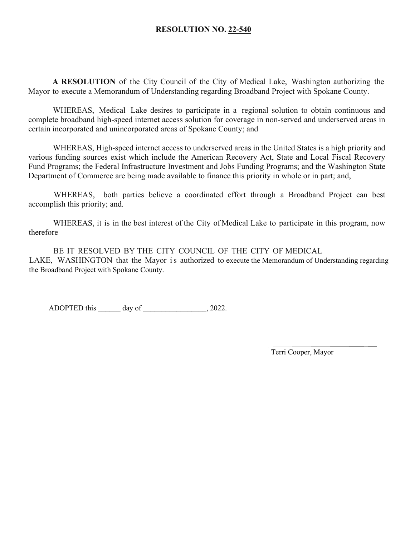## **RESOLUTION NO. 22-540**

**A RESOLUTION** of the City Council of the City of Medical Lake, Washington authorizing the Mayor to execute a Memorandum of Understanding regarding Broadband Project with Spokane County.

WHEREAS, Medical Lake desires to participate in a regional solution to obtain continuous and complete broadband high-speed internet access solution for coverage in non-served and underserved areas in certain incorporated and unincorporated areas of Spokane County; and

WHEREAS, High-speed internet access to underserved areas in the United States is a high priority and various funding sources exist which include the American Recovery Act, State and Local Fiscal Recovery Fund Programs; the Federal Infrastructure Investment and Jobs Funding Programs; and the Washington State Department of Commerce are being made available to finance this priority in whole or in part; and,

WHEREAS, both parties believe a coordinated effort through a Broadband Project can best accomplish this priority; and.

WHEREAS, it is in the best interest of the City of Medical Lake to participate in this program, now therefore

BE IT RESOLVED BY THE CITY COUNCIL OF THE CITY OF MEDICAL LAKE, WASHINGTON that the Mayor is authorized to execute the Memorandum of Understanding regarding the Broadband Project with Spokane County.

ADOPTED this \_\_\_\_\_\_ day of \_\_\_\_\_\_\_\_\_\_\_\_\_\_, 2022.

Terri Cooper, Mayor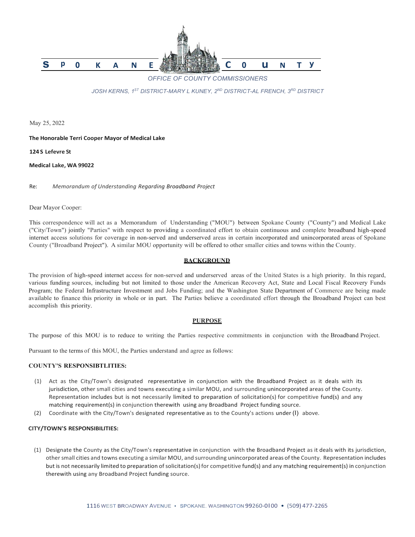

*OFFICE OF COUNTY COMMISSIONERS*

*JOSH KERNS, 1ST DISTRICT-MARY L KUNEY, 2ND DISTRICT-AL FRENCH, 3RD DISTRICT*

May 25, 2022

#### **The Honorable Terri Cooper Mayor of Medical Lake**

**124 S Lefevre St**

#### **Medical Lake, WA 99022**

Re: *Memorandum of Understanding Regarding Broadband Project*

#### Dear Mayor Cooper:

This correspondence will act as a Memorandum of Understanding ("MOU") between Spokane County ("County") and Medical Lake ("City/Town") jointly "Parties" with respect to providing a coordinated effort to obtain continuous and complete broadband high-speed internet access solutions for coverage in non-served and underserved areas in certain incorporated and unincorporated areas of Spokane County ("Broadband Project"). A similar MOU opportunity will be offered to other smaller cities and towns within the County.

#### **BACKGROUND**

The provision of high-speed internet access for non-served and underserved areas of the United States is a high priority. In this regard, various funding sources, including but not limited to those under the American Recovery Act, State and Local Fiscal Recovery Funds Program; the Federal Infrastructure Investment and Jobs Funding; and the Washington State Department of Commerce are being made available to finance this priority in whole or in part. The Parties believe a coordinated effort through the Broadband Project can best accomplish this priority.

#### **PURPOSE**

The purpose of this MOU is to reduce to writing the Parties respective commitments in conjunction with the Broadband Project.

Pursuant to the terms of this MOU, the Parties understand and agree as follows:

#### **COUNTY'S RESPONSIBTLITIES:**

- (1) Act as the City/Town's designated representative in conjunction with the Broadband Project as it deals with its jurisdiction, other small cities and towns executing a similar MOU, and surrounding unincorporated areas of the County. Representation includes but is not necessarily limited to preparation of solicitation(s) for competitive fund(s) and any matching requirement(s) in conjunction therewith using any Broadband Project funding source.
- (2) Coordinate with the City/Town's designated representative as to the County's actions under (I) above.

#### **CITY/TOWN'S RESPONSIBILITIES:**

(1) Designate the County as the City/Town's representative in conjunction with the Broadband Project as it deals with its jurisdiction, other small cities and towns executing a similar MOU, and surrounding unincorporated areas of the County. Representation includes but is not necessarily limited to preparation of solicitation(s) for competitive fund(s) and any matching requirement(s) in conjunction therewith using any Broadband Project funding source.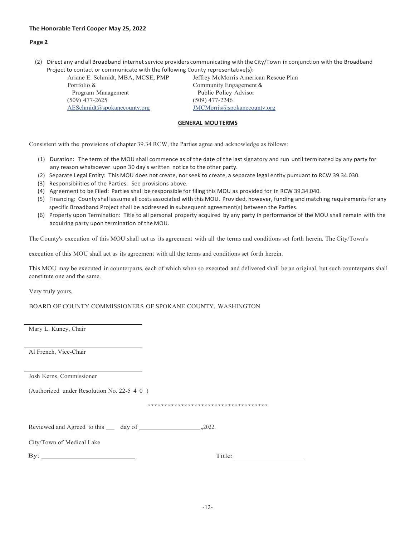#### **The Honorable Terri Cooper May 25, 2022**

#### **Page 2**

(2) Direct any and all Broadband internetservice providers communicating with the City/Town in conjunction with the Broadband Project to contact or communicate with the following County representative(s):

| Ariane E. Schmidt, MBA, MCSE, PMP | Jeffre     |
|-----------------------------------|------------|
| Portfolio &                       | Com        |
| Program Management                | Pub        |
| $(509)$ 477-2625                  | (509)      |
| AESchmidt@spokanecounty.org       | <b>JMC</b> |

ey McMorris American Rescue Plan munity Engagement & plic Policy Advisor 477-2246 Morris@spokanecounty.org

#### **GENERAL MOUTERMS**

Consistent with the provisions of chapter 39.34 RCW, the Parties agree and acknowledge as follows:

- (1) Duration: The term of the MOU shall commence as of the date of the last signatory and run until terminated by any party for any reason whatsoever upon 30 day's written notice to the other party.
- (2) Separate Legal Entity: This MOU does not create, norseek to create, a separate legal entity pursuant to RCW 39.34.030.
- (3) Responsibilities of the Parties: See provisions above.
- (4) Agreement to be Filed: Parties shall be responsible for filing this MOU as provided for in RCW 39.34.040.
- (5) Financing: County shall assume all costs associated with this MOU. Provided, however, funding and matching requirements for any specific Broadband Project shall be addressed in subsequent agreement(s) between the Parties.
- (6) Property upon Termination: Title to all personal property acquired by any party in performance of the MOU shall remain with the acquiring party upon termination of the MOU.

The County's execution of this MOU shall act as its agreement with all the terms and conditions set forth herein. The City/Town's

execution of this MOU shall act as its agreement with all the terms and conditions set forth herein.

This MOU may be executed in counterparts, each of which when so executed and delivered shall be an original, but such counterparts shall constitute one and the same.

Very truly yours,

BOARD OF COUNTY COMMISSIONERS OF SPOKANE COUNTY, WASHINGTON

Mary L. Kuney, Chair

Al French, Vice-Chair

Josh Kerns, Commissioner

(Authorized under Resolution No. 22-5 4 0)

\*\*\*\*\*\*\*\*\*\*\*\*\*\*\*\*\*\*\*\*\*\*\*\*\*\*\*\*\*\*\*\*\*\*\*\*

Reviewed and Agreed to this day of ,2022.

|  | City/Town of Medical Lake |
|--|---------------------------|
|--|---------------------------|

| $\sim$<br>ᅩ |  |
|-------------|--|
|-------------|--|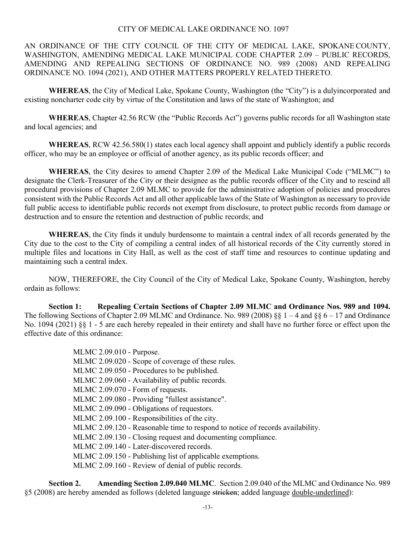## CITY OF MEDICAL LAKE ORDINANCE NO. 1097

AN ORDINANCE OF THE CITY COUNCIL OF THE CITY OF MEDICAL LAKE, SPOKANE COUNTY, WASHINGTON, AMENDING MEDICAL LAKE MUNICIPAL CODE CHAPTER 2.09 – PUBLIC RECORDS, AMENDING AND REPEALING SECTIONS OF ORDINANCE NO. 989 (2008) AND REPEALING ORDINANCE NO. 1094 (2021), AND OTHER MATTERS PROPERLY RELATED THERETO.

**WHEREAS**, the City of Medical Lake, Spokane County, Washington (the "City") is a dulyincorporated and existing noncharter code city by virtue of the Constitution and laws of the state of Washington; and

**WHEREAS**, Chapter 42.56 RCW (the "Public Records Act") governs public records for all Washington state and local agencies; and

**WHEREAS**, RCW 42.56.580(1) states each local agency shall appoint and publicly identify a public records officer, who may be an employee or official of another agency, as its public records officer; and

**WHEREAS**, the City desires to amend Chapter 2.09 of the Medical Lake Municipal Code ("MLMC") to designate the Clerk-Treasurer of the City or their designee as the public records officer of the City and to rescind all procedural provisions of Chapter 2.09 MLMC to provide for the administrative adoption of policies and procedures consistent with the Public Records Act and all other applicable laws of the State of Washington as necessary to provide full public access to identifiable public records not exempt from disclosure, to protect public records from damage or destruction and to ensure the retention and destruction of public records; and

**WHEREAS**, the City finds it unduly burdensome to maintain a central index of all records generated by the City due to the cost to the City of compiling a central index of all historical records of the City currently stored in multiple files and locations in City Hall, as well as the cost of staff time and resources to continue updating and maintaining such a central index.

NOW, THEREFORE, the City Council of the City of Medical Lake, Spokane County, Washington, hereby ordain as follows:

**Section 1: Repealing Certain Sections of Chapter 2.09 MLMC and Ordinance Nos. 989 and 1094.** The following Sections of Chapter 2.09 MLMC and Ordinance. No. 989 (2008) §§  $1 - 4$  and §§  $6 - 17$  and Ordinance No. 1094 (2021) §§ 1 - 5 are each hereby repealed in their entirety and shall have no further force or effect upon the effective date of this ordinance:

| MLMC 2.09.010 - Purpose.                                                      |
|-------------------------------------------------------------------------------|
| MLMC 2.09.020 - Scope of coverage of these rules.                             |
| MLMC 2.09.050 - Procedures to be published.                                   |
| MLMC 2.09.060 - Availability of public records.                               |
| MLMC 2.09.070 - Form of requests.                                             |
| MLMC 2.09.080 - Providing "fullest assistance".                               |
| MLMC 2.09.090 - Obligations of requestors.                                    |
| MLMC 2.09.100 - Responsibilities of the city.                                 |
| MLMC 2.09.120 - Reasonable time to respond to notice of records availability. |
| MLMC 2.09.130 - Closing request and documenting compliance.                   |
| MLMC 2.09.140 - Later-discovered records.                                     |
| MLMC 2.09.150 - Publishing list of applicable exemptions.                     |
| MLMC 2.09.160 - Review of denial of public records.                           |
|                                                                               |

**Section 2. Amending Section 2.09.040 MLMC**. Section 2.09.040 of the MLMC and Ordinance No. 989 §5 (2008) are hereby amended as follows (deleted language stricken; added language double-underlined):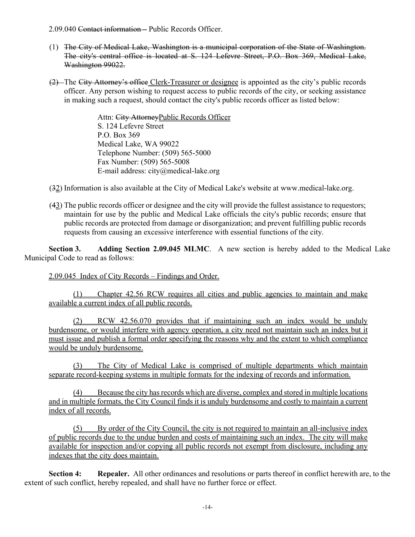2.09.040 Contact information – Public Records Officer.

- (1) The City of Medical Lake, Washington is a municipal corporation of the State of Washington. The city's central office is located at S. 124 Lefevre Street, P.O. Box 369, Medical Lake, Washington 99022.
- (2) The City Attorney's office Clerk-Treasurer or designee is appointed as the city's public records officer. Any person wishing to request access to public records of the city, or seeking assistance in making such a request, should contact the city's public records officer as listed below:

Attn: City AttorneyPublic Records Officer S. 124 Lefevre Street P.O. Box 369 Medical Lake, WA 99022 Telephone Number: (509) 565-5000 Fax Number: (509) 565-5008 E-mail address: city@medical-lake.org

- (32) Information is also available at the City of Medical Lake's website at www.medical-lake.org.
- $(43)$  The public records officer or designee and the city will provide the fullest assistance to requestors; maintain for use by the public and Medical Lake officials the city's public records; ensure that public records are protected from damage or disorganization; and prevent fulfilling public records requests from causing an excessive interference with essential functions of the city.

**Section 3. Adding Section 2.09.045 MLMC**. A new section is hereby added to the Medical Lake Municipal Code to read as follows:

2.09.045 Index of City Records – Findings and Order.

(1) Chapter 42.56 RCW requires all cities and public agencies to maintain and make available a current index of all public records.

(2) RCW 42.56.070 provides that if maintaining such an index would be unduly burdensome, or would interfere with agency operation, a city need not maintain such an index but it must issue and publish a formal order specifying the reasons why and the extent to which compliance would be unduly burdensome.

(3) The City of Medical Lake is comprised of multiple departments which maintain separate record-keeping systems in multiple formats for the indexing of records and information.

(4) Because the city has records which are diverse, complex and stored in multiple locations and in multiple formats, the City Council finds it is unduly burdensome and costly to maintain a current index of all records.

(5) By order of the City Council, the city is not required to maintain an all-inclusive index of public records due to the undue burden and costs of maintaining such an index. The city will make available for inspection and/or copying all public records not exempt from disclosure, including any indexes that the city does maintain.

**Section 4: Repealer.** All other ordinances and resolutions or parts thereof in conflict herewith are, to the extent of such conflict, hereby repealed, and shall have no further force or effect.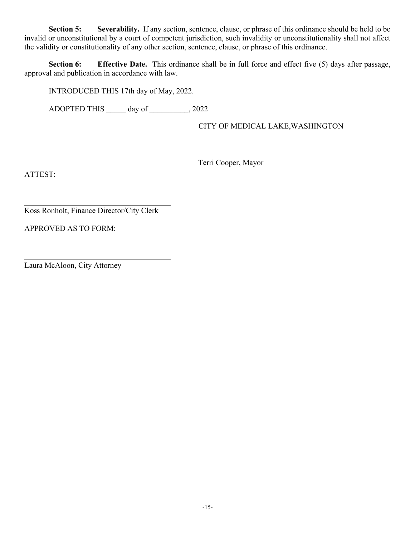**Section 5: Severability.** If any section, sentence, clause, or phrase of this ordinance should be held to be invalid or unconstitutional by a court of competent jurisdiction, such invalidity or unconstitutionality shall not affect the validity or constitutionality of any other section, sentence, clause, or phrase of this ordinance.

**Section 6: Effective Date.** This ordinance shall be in full force and effect five (5) days after passage, approval and publication in accordance with law.

INTRODUCED THIS 17th day of May, 2022.

ADOPTED THIS day of  $\qquad \qquad , 2022$ 

CITY OF MEDICAL LAKE,WASHINGTON

Terri Cooper, Mayor

ATTEST:

Koss Ronholt, Finance Director/City Clerk

APPROVED AS TO FORM:

Laura McAloon, City Attorney